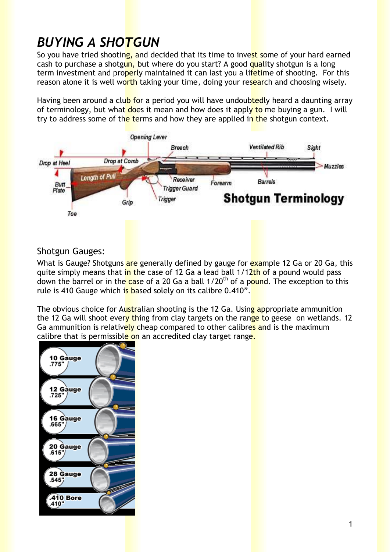# *BUYING A SHOTGUN*

So vou have tried shooting, and decided that its time to invest some of your hard earned cash to purchase a shotgun, but where do you start? A good quality shotgun is a long term investment and properly maintained it can last you a lifetime of shooting. For this reason alone it is well worth taking your time, doing your research and choosing wisely.

Having been around a club for a period you will have undoubtedly heard a daunting array of terminology, but what does it mean and how does it apply to me buying a gun. I will try to address some of the terms and how they are applied in the shotgun context.



# Shotgun Gauges:

What is Gauge? Shotguns are generally defined by gauge for example 12 Ga or 20 Ga, this quite simply means that in the case of 12 Ga a lead ball 1/12th of a pound would pass down the barrel or in the case of a 20 Ga a ball 1/20<sup>th</sup> of a pound. The exception to this rule is 410 Gauge which is based solely on its calibre 0.410".

The obvious choice for Australian shooting is the 12 Ga. Using appropriate ammunition the 12 Ga will shoot every thing from clay targets on the range to geese on wetlands. 12 Ga ammunition is relatively cheap compared to other calibres and is the maximum calibre that is permissible on an accredited clay target range.

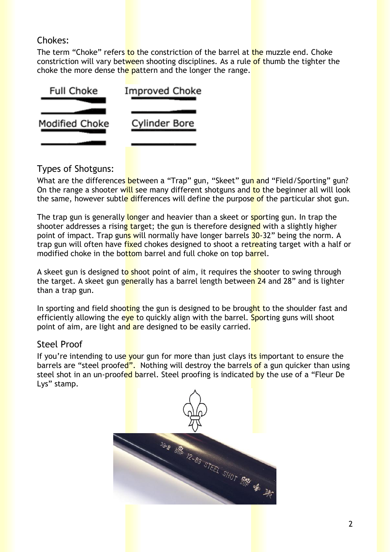## Chokes:

The term "Choke" refers to the constriction of the barrel at the muzzle end. Choke constriction will vary between shooting disciplines. As a rule of thumb the tighter the choke the more dense the pattern and the longer the range.



# Types of Shotguns:

What are the differences between a "Trap" gun, "Skeet" gun and "Field/Sporting" gun? On the range a shooter will see many different shotguns and to the beginner all will look the same, however subtle differences will define the purpose of the particular shot gun.

The trap gun is generally longer and heavier than a skeet or sporting gun. In trap the shooter addresses a rising target; the gun is therefore designed with a slightly higher point of impact. Trap guns will normally have longer barrels 30-32" being the norm. A trap gun will often have fixed chokes designed to shoot a retreating target with a half or modified choke in the bottom barrel and full choke on top barrel.

A skeet gun is designed to shoot point of aim, it requires the shooter to swing through the target. A skeet gun generally has a barrel length between 24 and 28" and is lighter than a trap gun.

In sporting and field shooting the gun is designed to be brought to the shoulder fast and efficiently allowing the eve to quickly align with the barrel. Sporting guns will shoot point of aim, are light and are designed to be easily carried.

## Steel Proof

If you're intending to use your gun for more than just clays its important to ensure the barrels are "steel proofed". Nothing will destroy the barrels of a gun quicker than using steel shot in an un-proofed barrel. Steel proofing is indicated by the use of a "Fleur De Lys" stamp.

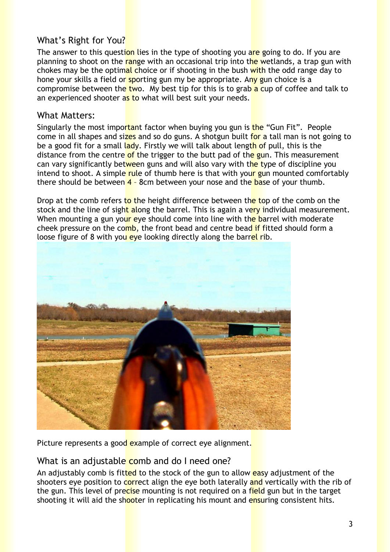## What's Right for You?

The answer to this question lies in the type of shooting you are going to do. If you are planning to shoot on the range with an occasional trip into the wetlands, a trap gun with chokes may be the optimal choice or if shooting in the bush with the odd range day to hone your skills a field or sporting gun my be appropriate. Any gun choice is a compromise between the two. My best tip for this is to grab a cup of coffee and talk to an experienced shooter as to what will best suit your needs.

#### What Matters:

Singularly the most important factor when buying you gun is the "Gun Fit". People come in all shapes and sizes and so do guns. A shotgun built for a tall man is not going to be a good fit for a small lady. Firstly we will talk about length of pull, this is the distance from the centre of the trigger to the butt pad of the gun. This measurement can vary significantly between guns and will also vary with the type of discipline you intend to shoot. A simple rule of thumb here is that with your gun mounted comfortably there should be between  $\frac{4}{1}$  8cm between your nose and the base of your thumb.

Drop at the comb refers to the height difference between the top of the comb on the stock and the line of sight along the barrel. This is again a very individual measurement. When mounting a gun your eye should come into line with the barrel with moderate cheek pressure on the comb, the front bead and centre bead if fitted should form a loose figure of 8 with you eye looking directly along the barrel rib.



Picture represents a good example of correct eye alignment.

## What is an adjustable comb and do I need one?

An adjustably comb is fitted to the stock of the gun to allow easy adjustment of the shooters eye position to correct align the eye both laterally and vertically with the rib of the gun. This level of precise mounting is not required on a field gun but in the target shooting it will aid the shooter in replicating his mount and ensuring consistent hits.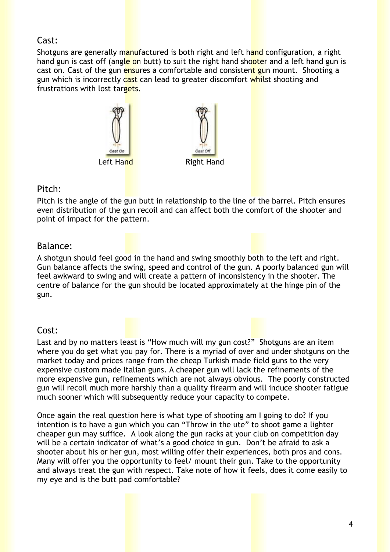#### Cast:

Shotguns are generally manufactured is both right and left hand configuration, a right hand gun is cast off (angle on butt) to suit the right hand shooter and a left hand gun is cast on. Cast of the gun ensures a comfortable and consistent gun mount. Shooting a gun which is incorrectly cast can lead to greater discomfort whilst shooting and frustrations with lost targets.



#### Pitch:

Pitch is the angle of the gun butt in relationship to the line of the barrel. Pitch ensures even distribution of the gun recoil and can affect both the comfort of the shooter and point of impact for the pattern.

#### Balance:

A shotgun should feel good in the hand and swing smoothly both to the left and right. Gun balance affects the swing, speed and control of the gun. A poorly balanced gun will feel awkward to swing and will create a pattern of inconsistency in the shooter. The centre of balance for the gun should be located approximately at the hinge pin of the gun.

## Cost:

Last and by no matters least is "How much will my gun cost?" Shotguns are an item where you do get what you pay for. There is a myriad of over and under shotguns on the market today and prices range from the cheap Turkish made field guns to the very expensive custom made Italian guns. A cheaper gun will lack the refinements of the more expensive gun, refinements which are not always obvious. The poorly constructed gun will recoil much more harshly than a quality firearm and will induce shooter fatigue much sooner which will subsequently reduce your capacity to compete.

Once again the real question here is what type of shooting am I going to do? If you intention is to have a gun which you can "Throw in the ute" to shoot game a lighter cheaper gun may suffice. A look along the gun racks at your club on competition day will be a certain indicator of what's a good choice in gun. Don't be afraid to ask a shooter about his or her gun, most willing offer their experiences, both pros and cons. Many will offer you the opportunity to feel/ mount their gun. Take to the opportunity and always treat the gun with respect. Take note of how it feels, does it come easily to my eye and is the butt pad comfortable?